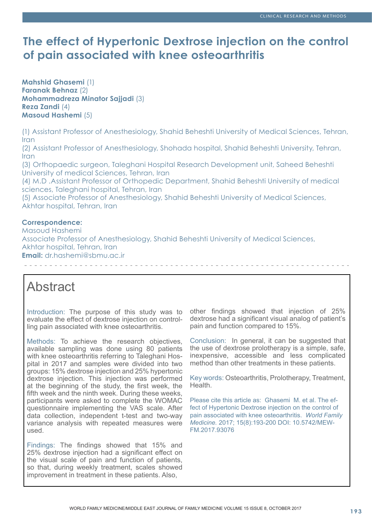# **The effect of Hypertonic Dextrose injection on the control of pain associated with knee osteoarthritis**

**Mahshid Ghasemi** (1) **Faranak Behnaz** (2) **Mohammadreza Minator Sajjadi** (3) **Reza Zandi** (4) **Masoud Hashemi** (5)

(1) Assistant Professor of Anesthesiology, Shahid Beheshti University of Medical Sciences, Tehran, Iran

(2) Assistant Professor of Anesthesiology, Shohada hospital, Shahid Beheshti University, Tehran, Iran

(3) Orthopaedic surgeon, Taleghani Hospital Research Development unit, Saheed Beheshti University of medical Sciences, Tehran, Iran

(4) M.D .Assistant Professor of Orthopedic Department, Shahid Beheshti University of medical sciences, Taleghani hospital, Tehran, Iran

(5) Associate Professor of Anesthesiology, Shahid Beheshti University of Medical Sciences, Akhtar hospital, Tehran, Iran

# **Correspondence:**

Masoud Hashemi Associate Professor of Anesthesiology, Shahid Beheshti University of Medical Sciences, Akhtar hospital, Tehran, Iran **Email:** dr.hashemi@sbmu.ac.ir

# Abstract

Introduction: The purpose of this study was to evaluate the effect of dextrose injection on controlling pain associated with knee osteoarthritis.

Methods: To achieve the research objectives, available sampling was done using 80 patients with knee osteoarthritis referring to Taleghani Hospital in 2017 and samples were divided into two groups: 15% dextrose injection and 25% hypertonic dextrose injection. This injection was performed at the beginning of the study, the first week, the fifth week and the ninth week. During these weeks, participants were asked to complete the WOMAC questionnaire implementing the VAS scale. After data collection, independent t-test and two-way variance analysis with repeated measures were used.

Findings: The findings showed that 15% and 25% dextrose injection had a significant effect on the visual scale of pain and function of patients, so that, during weekly treatment, scales showed improvement in treatment in these patients. Also,

other findings showed that injection of 25% dextrose had a significant visual analog of patient's pain and function compared to 15%.

Conclusion: In general, it can be suggested that the use of dextrose prolotherapy is a simple, safe, inexpensive, accessible and less complicated method than other treatments in these patients.

Key words: Osteoarthritis, Prolotherapy, Treatment, Health.

Please cite this article as: Ghasemi M. et al. The effect of Hypertonic Dextrose injection on the control of pain associated with knee osteoarthritis. *World Family Medicine.* 2017; 15(8):193-200 DOI: 10.5742/MEW-FM.2017.93076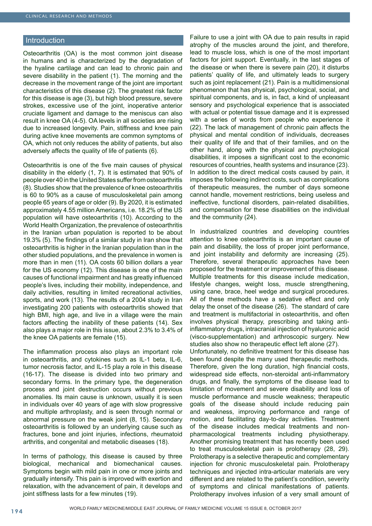## Introduction

Osteoarthritis (OA) is the most common joint disease in humans and is characterized by the degradation of the hyaline cartilage and can lead to chronic pain and severe disability in the patient (1). The morning and the decrease in the movement range of the joint are important characteristics of this disease (2). The greatest risk factor for this disease is age (3), but high blood pressure, severe strokes, excessive use of the joint, inoperative anterior cruciate ligament and damage to the meniscus can also result in knee OA (4-5). OA levels in all societies are rising due to increased longevity. Pain, stiffness and knee pain during active knee movements are common symptoms of OA, which not only reduces the ability of patients, but also adversely affects the quality of life of patients (6).

Osteoarthritis is one of the five main causes of physical disability in the elderly (1, 7). It is estimated that 90% of people over 40 in the United States suffer from osteoarthritis (8). Studies show that the prevalence of knee osteoarthritis is 60 to 90% as a cause of musculoskeletal pain among people 65 years of age or older (9). By 2020, it is estimated approximately 4.55 million Americans, i.e. 18.2% of the US population will have osteoarthritis (10). According to the World Health Organization, the prevalence of osteoarthritis in the Iranian urban population is reported to be about 19.3% (5). The findings of a similar study in Iran show that osteoarthritis is higher in the Iranian population than in the other studied populations, and the prevalence in women is more than in men (11). OA costs 60 billion dollars a year for the US economy (12). This disease is one of the main causes of functional impairment and has greatly influenced people's lives, including their mobility, independence, and daily activities, resulting in limited recreational activities, sports, and work (13). The results of a 2004 study in Iran investigating 200 patients with osteoarthritis showed that high BMI, high age, and live in a village were the main factors affecting the inability of these patients (14). Sex also plays a major role in this issue, about 2.3% to 3.4% of the knee OA patients are female (15).

The inflammation process also plays an important role in osteoarthritis, and cytokines such as IL-1 beta, IL-6, tumor necrosis factor, and IL-15 play a role in this disease (16-17). The disease is divided into two primary and secondary forms. In the primary type, the degeneration process and joint destruction occurs without previous anomalies. Its main cause is unknown, usually it is seen in individuals over 40 years of age with slow progressive and multiple arthroplasty, and is seen through normal or abnormal pressure on the weak joint (8, 15). Secondary osteoarthritis is followed by an underlying cause such as fractures, bone and joint injuries, infections, rheumatoid arthritis, and congenital and metabolic diseases (18).

In terms of pathology, this disease is caused by three biological, mechanical and biomechanical causes. Symptoms begin with mild pain in one or more joints and gradually intensify. This pain is improved with exertion and relaxation, with the advancement of pain, it develops and joint stiffness lasts for a few minutes (19).

Failure to use a joint with OA due to pain results in rapid atrophy of the muscles around the joint, and therefore, lead to muscle loss, which is one of the most important factors for joint support. Eventually, in the last stages of the disease or when there is severe pain (20), it disturbs patients' quality of life, and ultimately leads to surgery such as joint replacement (21). Pain is a multidimensional phenomenon that has physical, psychological, social, and spiritual components, and is, in fact, a kind of unpleasant sensory and psychological experience that is associated with actual or potential tissue damage and it is expressed with a series of words from people who experience it (22). The lack of management of chronic pain affects the physical and mental condition of individuals, decreases their quality of life and that of their families, and on the other hand, along with the physical and psychological disabilities, it imposes a significant cost to the economic resources of countries, health systems and insurance (23). In addition to the direct medical costs caused by pain, it imposes the following indirect costs, such as complications of therapeutic measures, the number of days someone cannot handle, movement restrictions, being useless and ineffective, functional disorders, pain-related disabilities, and compensation for these disabilities on the individual and the community (24).

In industrialized countries and developing countries attention to knee osteoarthritis is an important cause of pain and disability, the loss of proper joint performance, and joint instability and deformity are increasing (25). Therefore, several therapeutic approaches have been proposed for the treatment or improvement of this disease. Multiple treatments for this disease include medication, lifestyle changes, weight loss, muscle strengthening, using cane, brace, heel wedge and surgical procedures. All of these methods have a sedative effect and only delay the onset of the disease (26). The standard of care and treatment is multifactorial in osteoarthritis, and often involves physical therapy, prescribing and taking antiinflammatory drugs, intracranial injection of hyaluronic acid (visco-supplementation) and arthroscopic surgery. New studies also show no therapeutic effect left alone (27). Unfortunately, no definitive treatment for this disease has

been found despite the many used therapeutic methods. Therefore, given the long duration, high financial costs, widespread side effects, non-steroidal anti-inflammatory drugs, and finally, the symptoms of the disease lead to limitation of movement and severe disability and loss of muscle performance and muscle weakness; therapeutic goals of the disease should include reducing pain and weakness, improving performance and range of motion, and facilitating day-to-day activities. Treatment of the disease includes medical treatments and nonpharmacological treatments including physiotherapy. Another promising treatment that has recently been used to treat musculoskeletal pain is prolotherapy (28, 29). Prolotherapy is a selective therapeutic and complementary injection for chronic musculoskeletal pain. Prolotherapy techniques and injected intra-articular materials are very different and are related to the patient's condition, severity of symptoms and clinical manifestations of patients. Prolotherapy involves infusion of a very small amount of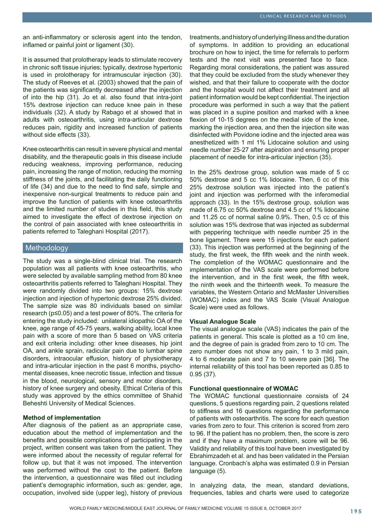an anti-inflammatory or sclerosis agent into the tendon, inflamed or painful joint or ligament (30).

It is assumed that prolotherapy leads to stimulate recovery in chronic soft tissue injuries; typically, dextrose hypertonic is used in prolotherapy for intramuscular injection (30). The study of Reeves et al. (2003) showed that the pain of the patients was significantly decreased after the injection of into the hip (31). Jo et al. also found that intra-joint 15% dextrose injection can reduce knee pain in these individuals (32). A study by Rabago et al showed that in adults with osteoarthritis, using intra-articular dextrose reduces pain, rigidity and increased function of patients without side effects (33).

Knee osteoarthritis can result in severe physical and mental disability, and the therapeutic goals in this disease include reducing weakness, improving performance, reducing pain, increasing the range of motion, reducing the morning stiffness of the joints, and facilitating the daily functioning of life (34) and due to the need to find safe, simple and inexpensive non-surgical treatments to reduce pain and improve the function of patients with knee osteoarthritis and the limited number of studies in this field, this study aimed to investigate the effect of dextrose injection on the control of pain associated with knee osteoarthritis in patients referred to Taleghani Hospital (2017).

# Methodology

The study was a single-blind clinical trial. The research population was all patients with knee osteoarthritis, who were selected by available sampling method from 80 knee osteoarthritis patients referred to Taleghani Hospital. They were randomly divided into two groups: 15% dextrose injection and injection of hypertonic dextrose 25% divided. The sample size was 80 individuals based on similar research (p≤0.05) and a test power of 80%. The criteria for entering the study included: unilateral idiopathic OA of the knee, age range of 45-75 years, walking ability, local knee pain with a score of more than 5 based on VAS criteria and exit criteria including: other knee diseases, hip joint OA, and ankle sprain, radicular pain due to lumbar spine disorders, intraocular effusion, history of physiotherapy and intra-articular injection in the past 6 months, psychomental diseases, knee necrotic tissue, infection and tissue in the blood, neurological, sensory and motor disorders, history of knee surgery and obesity. Ethical Criteria of this study was approved by the ethics committee of Shahid Beheshti University of Medical Sciences.

# **Method of implementation**

After diagnosis of the patient as an appropriate case, education about the method of implementation and the benefits and possible complications of participating in the project, written consent was taken from the patient. They were informed about the necessity of regular referral for follow up, but that it was not imposed. The intervention was performed without the cost to the patient. Before the intervention, a questionnaire was filled out including patient's demographic information, such as: gender, age, occupation, involved side (upper leg), history of previous

treatments, and history of underlying illness and the duration of symptoms. In addition to providing an educational brochure on how to inject, the time for referrals to perform tests and the next visit was presented face to face. Regarding moral considerations, the patient was assured that they could be excluded from the study whenever they wished, and that their failure to cooperate with the doctor and the hospital would not affect their treatment and all patient information would be kept confidential. The injection procedure was performed in such a way that the patient was placed in a supine position and marked with a knee flexion of 10-15 degrees on the medial side of the knee, marking the injection area, and then the injection site was disinfected with Povidone iodine and the injected area was anesthetized with 1 ml 1% Lidocaine solution and using needle number 25-27 after aspiration and ensuring proper placement of needle for intra-articular injection (35).

In the 25% dextrose group, solution was made of 5 cc 50% dextrose and 5 cc 1% lidocaine. Then, 6 cc of this 25% dextrose solution was injected into the patient's joint and injection was performed with the inferomedial approach (33). In the 15% dextrose group, solution was made of 6.75 cc 50% dextrose and 4.5 cc of 1% lidocaine and 11.25 cc of normal saline 0.9%. Then, 0.5 cc of this solution was 15% dextrose that was injected as subdermal with peppering technique with needle number 25 in the bone ligament. There were 15 injections for each patient (33). This injection was performed at the beginning of the study, the first week, the fifth week and the ninth week. The completion of the WOMAC questionnaire and the implementation of the VAS scale were performed before the intervention, and in the first week, the fifth week, the ninth week and the thirteenth week. To measure the variables, the Western Ontario and McMaster Universities (WOMAC) index and the VAS Scale (Visual Analogue Scale) were used as follows.

### **Visual Analogue Scale**

The visual analogue scale (VAS) indicates the pain of the patients in general. This scale is plotted as a 10 cm line, and the degree of pain is graded from zero to 10 cm. The zero number does not show any pain, 1 to 3 mild pain, 4 to 6 moderate pain and 7 to 10 severe pain [36]. The internal reliability of this tool has been reported as 0.85 to 0.95 (37).

### **Functional questionnaire of WOMAC**

The WOMAC functional questionnaire consists of 24 questions, 5 questions regarding pain, 2 questions related to stiffness and 16 questions regarding the performance of patients with osteoarthritis. The score for each question varies from zero to four. This criterion is scored from zero to 96. If the patient has no problem, then, the score is zero and if they have a maximum problem, score will be 96. Validity and reliability of this tool have been investigated by Ebrahimzadeh et al. and has been validated in the Persian language. Cronbach's alpha was estimated 0.9 in Persian language (5).

In analyzing data, the mean, standard deviations, frequencies, tables and charts were used to categorize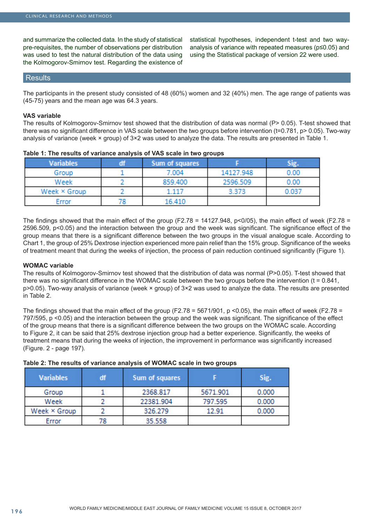and summarize the collected data. In the study of statistical pre-requisites, the number of observations per distribution was used to test the natural distribution of the data using the Kolmogorov-Smirnov test. Regarding the existence of statistical hypotheses, independent t-test and two wayanalysis of variance with repeated measures (p≤0.05) and using the Statistical package of version 22 were used.

# **Results**

The participants in the present study consisted of 48 (60%) women and 32 (40%) men. The age range of patients was (45-75) years and the mean age was 64.3 years.

# **VAS variable**

The results of Kolmogorov-Smirnov test showed that the distribution of data was normal (P> 0.05). T-test showed that there was no significant difference in VAS scale between the two groups before intervention (t=0.781, p> 0.05). Two-way analysis of variance (week × group) of 3×2 was used to analyze the data. The results are presented in Table 1.

| <b>Variables</b> | df | Sum of squares |           | Sig.  |
|------------------|----|----------------|-----------|-------|
| Group            |    | 7.004          | 14127.948 | 0.00  |
| Week             |    | 859.400        | 2596.509  | 0.00  |
| Week × Group     |    | $-117$         | 3.373     | 0.037 |
| Error            |    | 16.410         |           |       |

## **Table 1: The results of variance analysis of VAS scale in two groups**

The findings showed that the main effect of the group (F2.78 = 14127.948,  $p<0/05$ ), the main effect of week (F2.78 = 2596.509, p<0.05) and the interaction between the group and the week was significant. The significance effect of the group means that there is a significant difference between the two groups in the visual analogue scale. According to Chart 1, the group of 25% Dextrose injection experienced more pain relief than the 15% group. Significance of the weeks of treatment meant that during the weeks of injection, the process of pain reduction continued significantly (Figure 1).

# **WOMAC variable**

The results of Kolmogorov-Smirnov test showed that the distribution of data was normal (P>0.05). T-test showed that there was no significant difference in the WOMAC scale between the two groups before the intervention (t = 0.841, p>0.05). Two-way analysis of variance (week × group) of 3×2 was used to analyze the data. The results are presented in Table 2.

The findings showed that the main effect of the group (F2.78 = 5671/901, p <0.05), the main effect of week (F2.78 = 797/595, p <0.05) and the interaction between the group and the week was significant. The significance of the effect of the group means that there is a significant difference between the two groups on the WOMAC scale. According to Figure 2, it can be said that 25% dextrose injection group had a better experience. Significantly, the weeks of treatment means that during the weeks of injection, the improvement in performance was significantly increased (Figure. 2 - page 197).

| Table 2: The results of variance analysis of WOMAC scale in two groups |  |  |
|------------------------------------------------------------------------|--|--|
|------------------------------------------------------------------------|--|--|

| <b>Variables</b> | df | Sum of squares |          | Sig.  |
|------------------|----|----------------|----------|-------|
| Group            |    | 2368.817       | 5671.901 | 0.000 |
| Week             |    | 22381.904      | 797.595  | 0.000 |
| Week × Group     |    | 326.279        | 12.91    | 0.000 |
| Error            | 78 | 35.558         |          |       |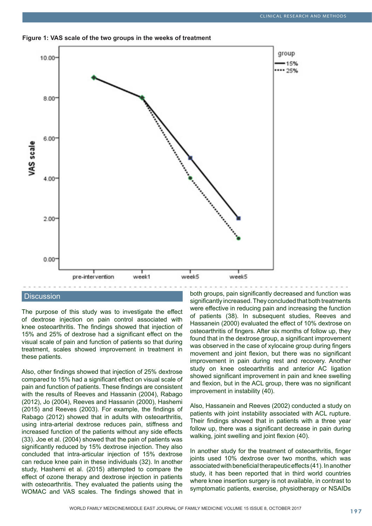



# **Discussion**

The purpose of this study was to investigate the effect of dextrose injection on pain control associated with knee osteoarthritis. The findings showed that injection of 15% and 25% of dextrose had a significant effect on the visual scale of pain and function of patients so that during treatment, scales showed improvement in treatment in these patients.

Also, other findings showed that injection of 25% dextrose compared to 15% had a significant effect on visual scale of pain and function of patients. These findings are consistent with the results of Reeves and Hassanin (2004), Rabago (2012), Jo (2004), Reeves and Hassanin (2000), Hashemi (2015) and Reeves (2003). For example, the findings of Rabago (2012) showed that in adults with osteoarthritis, using intra-arterial dextrose reduces pain, stiffness and increased function of the patients without any side effects (33). Joe et al. (2004) showed that the pain of patients was significantly reduced by 15% dextrose injection. They also concluded that intra-articular injection of 15% dextrose can reduce knee pain in these individuals (32). In another study, Hashemi et al. (2015) attempted to compare the effect of ozone therapy and dextrose injection in patients with osteoarthritis. They evaluated the patients using the WOMAC and VAS scales. The findings showed that in

both groups, pain significantly decreased and function was significantly increased. They concluded that both treatments were effective in reducing pain and increasing the function of patients (38). In subsequent studies, Reeves and Hassanein (2000) evaluated the effect of 10% dextrose on osteoarthritis of fingers. After six months of follow up, they found that in the dextrose group, a significant improvement was observed in the case of xylocaine group during fingers movement and joint flexion, but there was no significant improvement in pain during rest and recovery. Another study on knee osteoarthritis and anterior AC ligation showed significant improvement in pain and knee swelling and flexion, but in the ACL group, there was no significant improvement in instability (40).

Also, Hassanein and Reeves (2002) conducted a study on patients with joint instability associated with ACL rupture. Their findings showed that in patients with a three year follow up, there was a significant decrease in pain during walking, joint swelling and joint flexion (40).

In another study for the treatment of osteoarthritis, finger joints used 10% dextrose over two months, which was associated with beneficial therapeutic effects (41). In another study, it has been reported that in third world countries where knee insertion surgery is not available, in contrast to symptomatic patients, exercise, physiotherapy or NSAIDs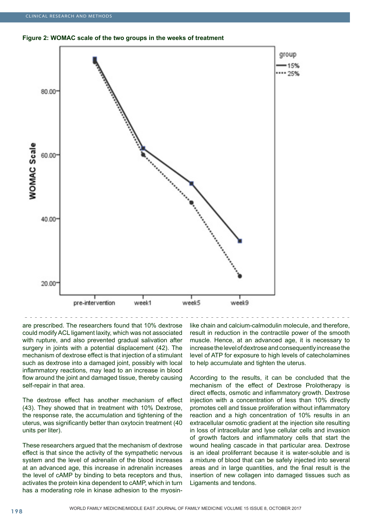**Figure 2: WOMAC scale of the two groups in the weeks of treatment**



are prescribed. The researchers found that 10% dextrose could modify ACL ligament laxity, which was not associated with rupture, and also prevented gradual salivation after surgery in joints with a potential displacement (42). The

mechanism of dextrose effect is that injection of a stimulant such as dextrose into a damaged joint, possibly with local inflammatory reactions, may lead to an increase in blood flow around the joint and damaged tissue, thereby causing self-repair in that area.

The dextrose effect has another mechanism of effect (43). They showed that in treatment with 10% Dextrose, the response rate, the accumulation and tightening of the uterus, was significantly better than oxytocin treatment (40 units per liter).

These researchers argued that the mechanism of dextrose effect is that since the activity of the sympathetic nervous system and the level of adrenalin of the blood increases at an advanced age, this increase in adrenalin increases the level of cAMP by binding to beta receptors and thus, activates the protein kina dependent to cAMP, which in turn has a moderating role in kinase adhesion to the myosinlike chain and calcium-calmodulin molecule, and therefore, result in reduction in the contractile power of the smooth muscle. Hence, at an advanced age, it is necessary to increase the level of dextrose and consequently increase the level of ATP for exposure to high levels of catecholamines to help accumulate and tighten the uterus.

According to the results, it can be concluded that the mechanism of the effect of Dextrose Prolotherapy is direct effects, osmotic and inflammatory growth. Dextrose injection with a concentration of less than 10% directly promotes cell and tissue proliferation without inflammatory reaction and a high concentration of 10% results in an extracellular osmotic gradient at the injection site resulting in loss of intracellular and lyse cellular cells and invasion of growth factors and inflammatory cells that start the wound healing cascade in that particular area. Dextrose is an ideal proliferrant because it is water-soluble and is a mixture of blood that can be safely injected into several areas and in large quantities, and the final result is the insertion of new collagen into damaged tissues such as Ligaments and tendons.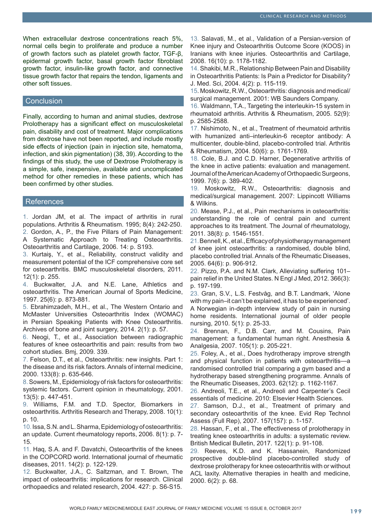When extracellular dextrose concentrations reach 5%. normal cells begin to proliferate and produce a number of growth factors such as platelet growth factor, TGF-β, epidermal growth factor, basal growth factor fibroblast growth factor, insulin-like growth factor, and connective tissue growth factor that repairs the tendon, ligaments and other soft tissues.

# **Conclusion**

Finally, according to human and animal studies, dextrose Prolotherapy has a significant effect on musculoskeletal pain, disability and cost of treatment. Major complications from dextrose have not been reported, and include mostly side effects of injection (pain in injection site, hematoma, infection, and skin pigmentation) (38, 39). According to the findings of this study, the use of Dextrose Prolotherapy is a simple, safe, inexpensive, available and uncomplicated method for other remedies in these patients, which has been confirmed by other studies.

## **References**

1. Jordan JM, et al. The impact of arthritis in rural populations. Arthritis & Rheumatism. 1995; 8(4): 242-250. 2. Gordon, A., P., the Five Pillars of Pain Management: A Systematic Approach to Treating Osteoarthritis. Osteoarthritis and Cartilage, 2006. 14: p. S193.

3. Kurtaiş, Y., et al., Reliability, construct validity and measurement potential of the ICF comprehensive core set for osteoarthritis. BMC musculoskeletal disorders, 2011. 12(1): p. 255.

4. Buckwalter, J.A. and N.E. Lane, Athletics and osteoarthritis. The American Journal of Sports Medicine, 1997. 25(6): p. 873-881.

5. Ebrahimzadeh, M.H., et al., The Western Ontario and McMaster Universities Osteoarthritis Index (WOMAC) in Persian Speaking Patients with Knee Osteoarthritis. Archives of bone and joint surgery, 2014. 2(1): p. 57.

6. Neogi, T., et al., Association between radiographic features of knee osteoarthritis and pain: results from two cohort studies. Bmj, 2009. 339.

7. Felson, D.T., et al., Osteoarthritis: new insights. Part 1: the disease and its risk factors. Annals of internal medicine, 2000. 133(8): p. 635-646.

8. Sowers, M., Epidemiology of risk factors for osteoarthritis: systemic factors. Current opinion in rheumatology, 2001. 13(5): p. 447-451.

9. Williams, F.M. and T.D. Spector, Biomarkers in osteoarthritis. Arthritis Research and Therapy, 2008. 10(1): p. 10.

10. Issa, S.N. and L. Sharma, Epidemiology of osteoarthritis: an update. Current rheumatology reports, 2006. 8(1): p. 7- 15.

11. Haq, S.A. and F. Davatchi, Osteoarthritis of the knees in the COPCORD world. International journal of rheumatic diseases, 2011. 14(2): p. 122-129.

12. Buckwalter, J.A., C. Saltzman, and T. Brown, The impact of osteoarthritis: implications for research. Clinical orthopaedics and related research, 2004. 427: p. S6-S15.

13. Salavati, M., et al., Validation of a Persian-version of Knee injury and Osteoarthritis Outcome Score (KOOS) in Iranians with knee injuries. Osteoarthritis and Cartilage, 2008. 16(10): p. 1178-1182.

14. Shakibi, M.R., Relationship Between Pain and Disability in Osteoarthritis Patients: Is Pain a Predictor for Disability? J. Med. Sci, 2004. 4(2): p. 115-119.

15. Moskowitz, R.W., Osteoarthritis: diagnosis and medical/ surgical management. 2001: WB Saunders Company.

16. Waldmann, T.A., Targeting the interleukin-15 system in rheumatoid arthritis. Arthritis & Rheumatism, 2005. 52(9): p. 2585-2588.

17. Nishimoto, N., et al., Treatment of rheumatoid arthritis with humanized anti–interleukin-6 receptor antibody: A multicenter, double-blind, placebo-controlled trial. Arthritis & Rheumatism, 2004. 50(6): p. 1761-1769.

18. Cole, B.J. and C.D. Harner, Degenerative arthritis of the knee in active patients: evaluation and management. Journal of the American Academy of Orthopaedic Surgeons, 1999. 7(6): p. 389-402.

19. Moskowitz, R.W., Osteoarthritis: diagnosis and medical/surgical management. 2007: Lippincott Williams & Wilkins.

20. Mease, P.J., et al., Pain mechanisms in osteoarthritis: understanding the role of central pain and current approaches to its treatment. The Journal of rheumatology, 2011. 38(8): p. 1546-1551.

21. Bennell, K., et al., Efficacy of physiotherapy management of knee joint osteoarthritis: a randomised, double blind, placebo controlled trial. Annals of the Rheumatic Diseases, 2005. 64(6): p. 906-912.

22. Pizzo, P.A. and N.M. Clark, Alleviating suffering 101– pain relief in the United States. N Engl J Med, 2012. 366(3): p. 197-199.

23. Gran, S.V., L.S. Festvåg, and B.T. Landmark, 'Alone with my pain–it can't be explained, it has to be experienced'. A Norwegian in-depth interview study of pain in nursing home residents. International journal of older people nursing, 2010. 5(1): p. 25-33.

24. Brennan, F., D.B. Carr, and M. Cousins, Pain management: a fundamental human right. Anesthesia & Analgesia, 2007. 105(1): p. 205-221.

25. Foley, A., et al., Does hydrotherapy improve strength and physical function in patients with osteoarthritis—a randomised controlled trial comparing a gym based and a hydrotherapy based strengthening programme. Annals of the Rheumatic Diseases, 2003. 62(12): p. 1162-1167.

26. Andreoli, T.E., et al., Andreoli and Carpenter's Cecil essentials of medicine. 2010: Elsevier Health Sciences.

27. Samson, D.J., et al., Treatment of primary and secondary osteoarthritis of the knee. Evid Rep Technol Assess (Full Rep), 2007. 157(157): p. 1-157.

28. Hassan, F., et al., The effectiveness of prolotherapy in treating knee osteoarthritis in adults: a systematic review. British Medical Bulletin, 2017. 122(1): p. 91-108.

29. Reeves, K.D. and K. Hassanein, Randomized prospective double-blind placebo-controlled study of dextrose prolotherapy for knee osteoarthritis with or without ACL laxity. Alternative therapies in health and medicine, 2000. 6(2): p. 68.